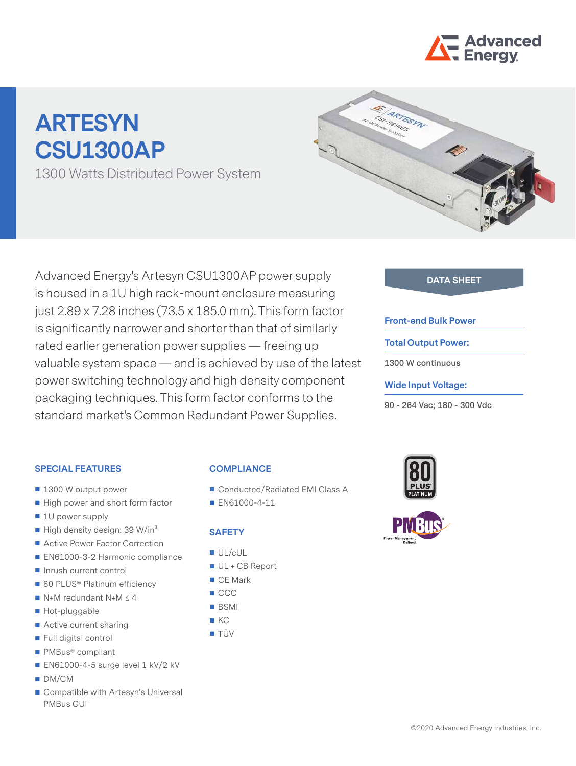

# **ARTESYN CSU1300AP**

1300 Watts Distributed Power System



Advanced Energy's Artesyn CSU1300AP power supply **DATA SHEET** is housed in a 1U high rack-mount enclosure measuring just 2.89 x 7.28 inches (73.5 x 185.0 mm). This form factor is significantly narrower and shorter than that of similarly rated earlier generation power supplies — freeing up valuable system space — and is achieved by use of the latest power switching technology and high density component packaging techniques. This form factor conforms to the standard market's Common Redundant Power Supplies.

#### **Front-end Bulk Power**

#### **Total Output Power:**

**1300 W continuous** 

#### **Wide Input Voltage:**

**90 - 264 Vac; 180 - 300 Vdc**

#### **SPECIAL FEATURES**

- 1300 W output power
- High power and short form factor
- 1U power supply
- $\blacksquare$  High density design: 39 W/in<sup>3</sup>
- Active Power Factor Correction
- EN61000-3-2 Harmonic compliance
- Inrush current control
- 80 PLUS<sup>®</sup> Platinum efficiency
- $N+M$  redundant N+M  $\leq$  4
- Hot-pluggable
- Active current sharing
- Full digital control
- PMBus<sup>®</sup> compliant
- EN61000-4-5 surge level 1 kV/2 kV
- DM/CM
- Compatible with Artesyn's Universal PMBus GUI

# **COMPLIANCE**

- Conducted/Radiated EMI Class A
- **EN61000-4-11**

#### **SAFETY**

- UL/cUL
- UL + CB Report
- CE Mark
- $\blacksquare$  CCC
- BSMI
- $K$
- **TÜV**

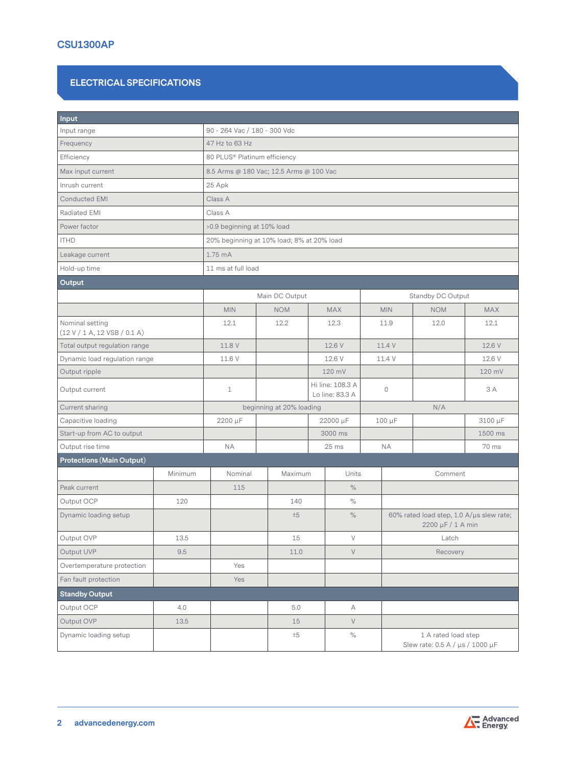#### **ELECTRICAL SPECIFICATIONS**

| Input                                           |         |                                           |                          |                                     |                   |                                                               |            |  |  |
|-------------------------------------------------|---------|-------------------------------------------|--------------------------|-------------------------------------|-------------------|---------------------------------------------------------------|------------|--|--|
| Input range                                     |         | 90 - 264 Vac / 180 - 300 Vdc              |                          |                                     |                   |                                                               |            |  |  |
| Frequency                                       |         | 47 Hz to 63 Hz                            |                          |                                     |                   |                                                               |            |  |  |
| Efficiency                                      |         | 80 PLUS® Platinum efficiency              |                          |                                     |                   |                                                               |            |  |  |
| Max input current                               |         | 8.5 Arms @ 180 Vac; 12.5 Arms @ 100 Vac   |                          |                                     |                   |                                                               |            |  |  |
| Inrush current                                  |         | 25 Apk                                    |                          |                                     |                   |                                                               |            |  |  |
| <b>Conducted EMI</b>                            |         | Class A                                   |                          |                                     |                   |                                                               |            |  |  |
| Radiated EMI                                    |         | Class A                                   |                          |                                     |                   |                                                               |            |  |  |
| Power factor                                    |         | >0.9 beginning at 10% load                |                          |                                     |                   |                                                               |            |  |  |
| <b>ITHD</b>                                     |         | 20% beginning at 10% load; 8% at 20% load |                          |                                     |                   |                                                               |            |  |  |
| Leakage current                                 |         | 1.75 mA                                   |                          |                                     |                   |                                                               |            |  |  |
| Hold-up time                                    |         | 11 ms at full load                        |                          |                                     |                   |                                                               |            |  |  |
| Output                                          |         |                                           |                          |                                     |                   |                                                               |            |  |  |
|                                                 |         |                                           | Main DC Output           |                                     | Standby DC Output |                                                               |            |  |  |
|                                                 |         | <b>MIN</b>                                | <b>NOM</b>               | <b>MAX</b>                          | <b>MIN</b>        | <b>NOM</b>                                                    | <b>MAX</b> |  |  |
| Nominal setting<br>(12 V / 1 A, 12 VSB / 0.1 A) |         | 12.1                                      | 12.2                     | 12.3                                | 11.9              | 12.1<br>12.0                                                  |            |  |  |
| Total output regulation range                   |         | 11.8 V                                    |                          | 12.6 V                              | 11.4 V            |                                                               | 12.6 V     |  |  |
| Dynamic load regulation range                   |         | 11.6 V                                    |                          | 12.6 V                              | 11.4 V            |                                                               | 12.6 V     |  |  |
| Output ripple                                   |         |                                           |                          | 120 mV                              |                   |                                                               | 120 mV     |  |  |
| Output current                                  |         | $\mathbf{1}$                              |                          | Hi line: 108.3 A<br>Lo line: 83.3 A | $\circ$           |                                                               | 3 A        |  |  |
| Current sharing                                 |         |                                           | beginning at 20% loading |                                     |                   | N/A                                                           |            |  |  |
| Capacitive loading                              |         | 2200 µF                                   |                          | 22000 µF                            | 100 µF            |                                                               | 3100 µF    |  |  |
| Start-up from AC to output                      |         |                                           |                          | 3000 ms                             |                   |                                                               | 1500 ms    |  |  |
| Output rise time                                |         | <b>NA</b>                                 | 25 ms                    |                                     | <b>NA</b>         | 70 ms                                                         |            |  |  |
| <b>Protections (Main Output)</b>                |         |                                           |                          |                                     |                   |                                                               |            |  |  |
|                                                 | Minimum | Nominal                                   | Maximum                  | Units                               |                   | Comment                                                       |            |  |  |
| Peak current                                    |         | 115                                       |                          | $\%$                                |                   |                                                               |            |  |  |
| Output OCP                                      | 120     |                                           | 140                      | $\%$                                |                   |                                                               |            |  |  |
| Dynamic loading setup                           |         |                                           | ±5                       | $\%$                                |                   | 60% rated load step, 1.0 A/µs slew rate;<br>2200 µF / 1 A min |            |  |  |
| Output OVP                                      | 13.5    |                                           | 15                       | $\vee$                              |                   | Latch                                                         |            |  |  |
| Output UVP                                      | 9.5     |                                           | 11.0                     | $\vee$                              |                   | Recovery                                                      |            |  |  |
| Overtemperature protection                      |         | Yes                                       |                          |                                     |                   |                                                               |            |  |  |
| Fan fault protection                            |         | Yes                                       |                          |                                     |                   |                                                               |            |  |  |
| <b>Standby Output</b>                           |         |                                           |                          |                                     |                   |                                                               |            |  |  |
| Output OCP                                      | 4.0     |                                           | 5.0                      | А                                   |                   |                                                               |            |  |  |
| Output OVP                                      | 13.5    |                                           | 15                       | $\vee$                              |                   |                                                               |            |  |  |
| Dynamic loading setup                           |         |                                           | ±5                       | $\%$                                |                   | 1 A rated load step<br>Slew rate: 0.5 A / μs / 1000 μF        |            |  |  |

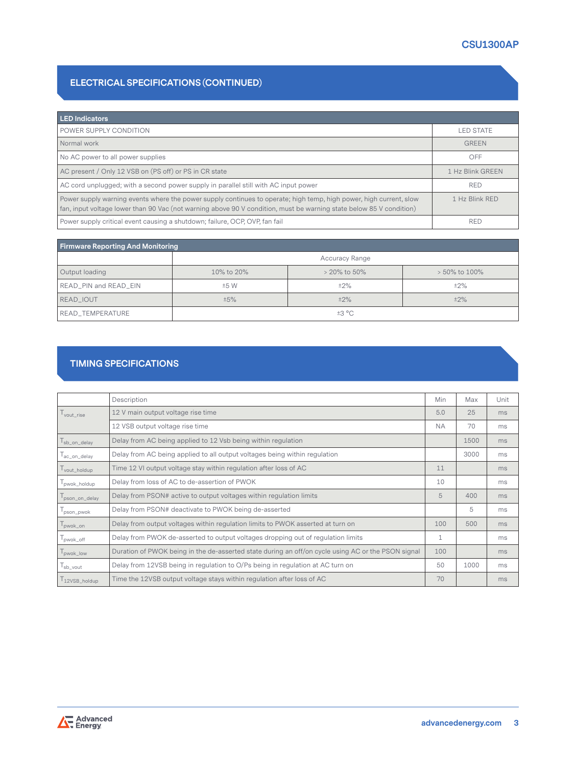#### **ELECTRICAL SPECIFICATIONS (CONTINUED)**

| <b>LED Indicators</b>                                                                                                                                                                                                                     |                  |
|-------------------------------------------------------------------------------------------------------------------------------------------------------------------------------------------------------------------------------------------|------------------|
| POWER SUPPLY CONDITION                                                                                                                                                                                                                    | LED STATE        |
| Normal work                                                                                                                                                                                                                               | <b>GREEN</b>     |
| No AC power to all power supplies                                                                                                                                                                                                         | OFF              |
| AC present / Only 12 VSB on (PS off) or PS in CR state                                                                                                                                                                                    | 1 Hz Blink GREEN |
| AC cord unplugged; with a second power supply in parallel still with AC input power                                                                                                                                                       | <b>RED</b>       |
| Power supply warning events where the power supply continues to operate; high temp, high power, high current, slow<br>fan, input voltage lower than 90 Vac (not warning above 90 V condition, must be warning state below 85 V condition) | 1 Hz Blink RED   |
| Power supply critical event causing a shutdown; failure, OCP, OVP, fan fail                                                                                                                                                               | <b>RED</b>       |

| <b>Firmware Reporting And Monitoring</b> |                       |              |                  |  |  |
|------------------------------------------|-----------------------|--------------|------------------|--|--|
|                                          | <b>Accuracy Range</b> |              |                  |  |  |
| Output loading                           | 10% to 20%            | > 20% to 50% | $> 50\%$ to 100% |  |  |
| READ_PIN and READ_EIN                    | ±5 W                  | ±2%          | $±2\%$           |  |  |
| READ IOUT                                | ±5%                   | $±2\%$       | $±2\%$           |  |  |
| READ_TEMPERATURE                         | ±3 °C                 |              |                  |  |  |

#### **TIMING SPECIFICATIONS**

|               | Description                                                                                        | Min | Max  | Unit |
|---------------|----------------------------------------------------------------------------------------------------|-----|------|------|
| vout rise     | 12 V main output voltage rise time                                                                 | 5.0 | 25   | ms   |
|               | 12 VSB output voltage rise time                                                                    | NA. | 70   | ms   |
| sb_on_delay   | Delay from AC being applied to 12 Vsb being within regulation                                      |     | 1500 | ms   |
| ac_on_delay   | Delay from AC being applied to all output voltages being within regulation                         |     | 3000 | ms   |
| vout_holdup   | Time 12 VI output voltage stay within regulation after loss of AC                                  | 11  |      | ms   |
| pwok_holdup   | Delay from loss of AC to de-assertion of PWOK                                                      | 10  |      | ms   |
| pson_on_delay | Delay from PSON# active to output voltages within regulation limits                                | 5   | 400  | ms   |
| pson_pwok     | Delay from PSON# deactivate to PWOK being de-asserted                                              |     | 5    | ms   |
| pwok_on       | Delay from output voltages within regulation limits to PWOK asserted at turn on                    | 100 | 500  | ms   |
| pwok_off      | Delay from PWOK de-asserted to output voltages dropping out of regulation limits                   | 1   |      | ms   |
| pwok_low      | Duration of PWOK being in the de-asserted state during an off/on cycle using AC or the PSON signal | 100 |      | ms   |
| sb_vout       | Delay from 12VSB being in regulation to O/Ps being in regulation at AC turn on                     | 50  | 1000 | ms   |
| 12VSB_holdup  | Time the 12VSB output voltage stays within regulation after loss of AC                             | 70  |      | ms   |

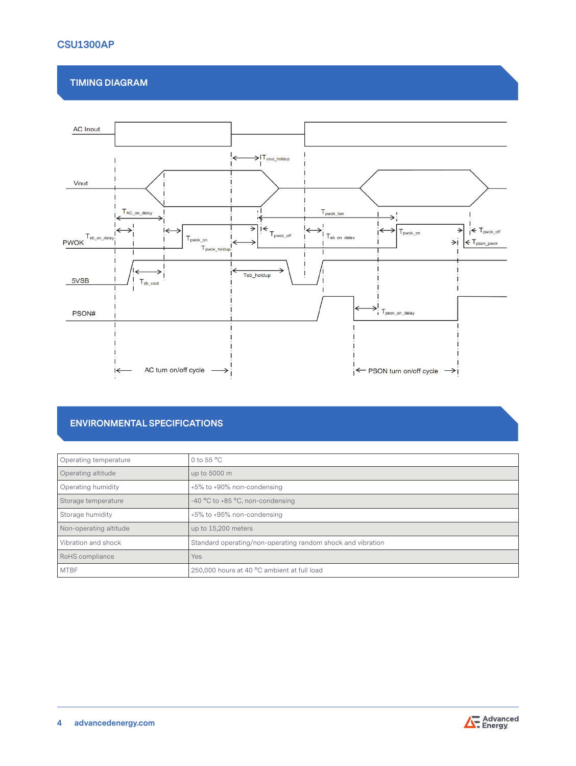#### **TIMING DIAGRAM**



#### **ENVIRONMENTAL SPECIFICATIONS**

| Operating temperature  | 0 to 55 $^{\circ}$ C                                        |
|------------------------|-------------------------------------------------------------|
| Operating altitude     | up to 5000 m                                                |
| Operating humidity     | +5% to +90% non-condensing                                  |
| Storage temperature    | -40 °C to +85 °C, non-condensing                            |
| Storage humidity       | +5% to +95% non-condensing                                  |
| Non-operating altitude | up to 15,200 meters                                         |
| Vibration and shock    | Standard operating/non-operating random shock and vibration |
| RoHS compliance        | Yes                                                         |
| <b>MTBF</b>            | 250,000 hours at 40 °C ambient at full load                 |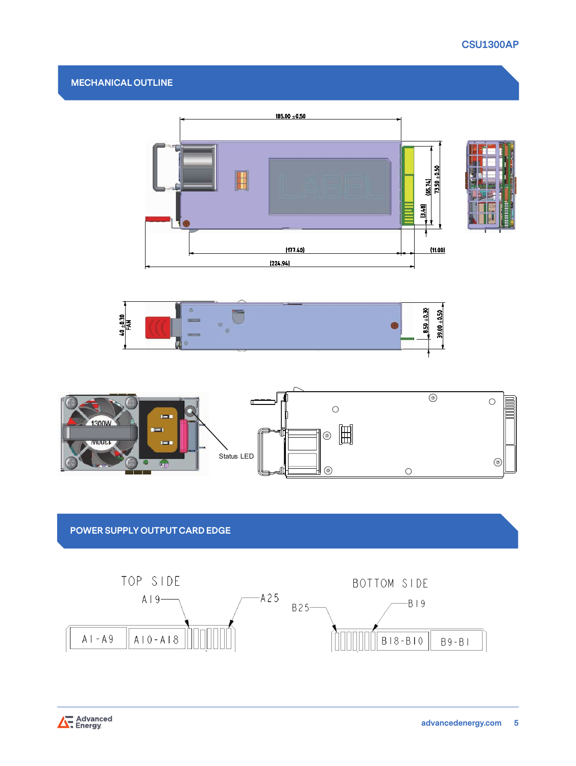



# **POWER SUPPLY OUTPUT CARD EDGE**



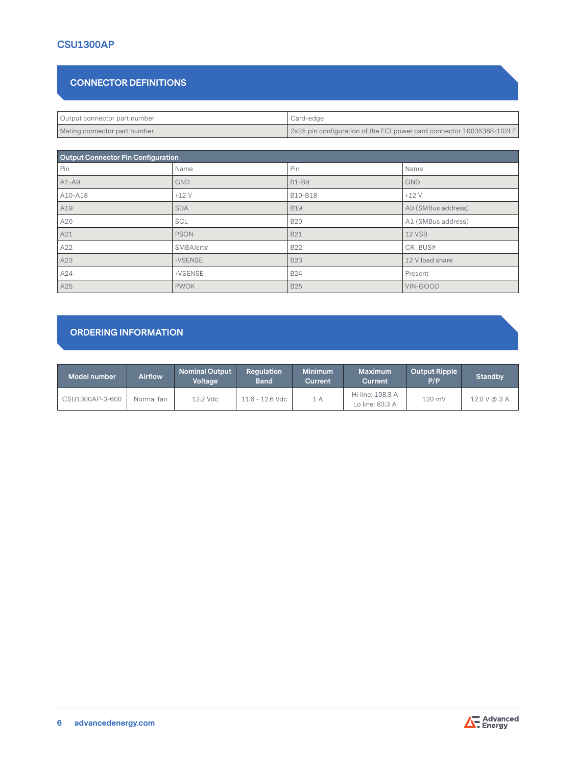# **CONNECTOR DEFINITIONS**

| Output connector part number | Card-edge                                                             |
|------------------------------|-----------------------------------------------------------------------|
| Mating connector part number | 2x25 pin configuration of the FCI power card connector 10035388-102LF |

| <b>Output Connector Pin Configuration</b> |             |              |                    |  |  |
|-------------------------------------------|-------------|--------------|--------------------|--|--|
| Pin                                       | Name        | Pin          | Name               |  |  |
| $A1-A9$                                   | <b>GND</b>  | <b>B1-B9</b> | <b>GND</b>         |  |  |
| A10-A18                                   | $+12V$      | B10-B18      | $+12V$             |  |  |
| A19                                       | <b>SDA</b>  | <b>B19</b>   | A0 (SMBus address) |  |  |
| A20                                       | <b>SCL</b>  | <b>B20</b>   | A1 (SMBus address) |  |  |
| A21                                       | <b>PSON</b> | <b>B21</b>   | 12 VSB             |  |  |
| A22                                       | SMBAlert#   | <b>B22</b>   | CR_BUS#            |  |  |
| A23                                       | -VSENSE     | <b>B23</b>   | 12 V load share    |  |  |
| A24                                       | +VSENSE     | <b>B24</b>   | Present            |  |  |
| A25                                       | <b>PWOK</b> | <b>B25</b>   | VIN-GOOD           |  |  |

### **ORDERING INFORMATION**

| Model number    | <b>Airflow</b> | <b>Nominal Output</b><br>Voltage | <b>Requlation</b><br><b>Band</b> | <b>Minimum</b><br><b>Current</b> | Maximum<br><b>Current</b>           | <b>Output Ripple</b><br>P/P | <b>Standby</b> |
|-----------------|----------------|----------------------------------|----------------------------------|----------------------------------|-------------------------------------|-----------------------------|----------------|
| CSU1300AP-3-600 | Normal fan     | 12.2 Vdc                         | $11.6 - 12.6$ Vdc                | 1 A                              | Hi line: 108.3 A<br>Lo line: 83.3 A | 120 mV                      | 12.0 V @ 3 A   |